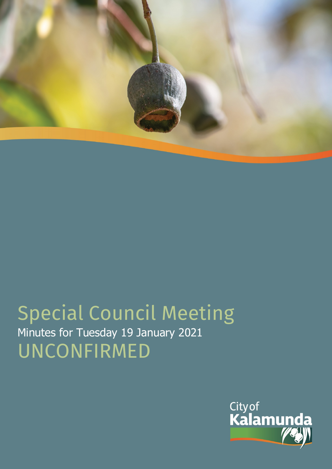

# Special Council Meeting Minutes for Tuesday 19 January 2021 UNCONFIRMED

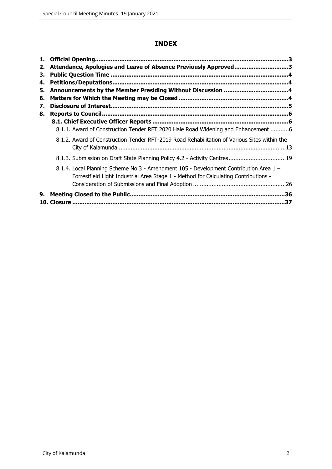# **INDEX**

| 1.<br>2. | Attendance, Apologies and Leave of Absence Previously Approved3                                                                                                              |  |
|----------|------------------------------------------------------------------------------------------------------------------------------------------------------------------------------|--|
| З.<br>4. |                                                                                                                                                                              |  |
| 5.       |                                                                                                                                                                              |  |
| 6.<br>7. |                                                                                                                                                                              |  |
| 8.       |                                                                                                                                                                              |  |
|          | 8.1.1. Award of Construction Tender RFT 2020 Hale Road Widening and Enhancement 6                                                                                            |  |
|          | 8.1.2. Award of Construction Tender RFT-2019 Road Rehabilitation of Various Sites within the                                                                                 |  |
|          | 8.1.3. Submission on Draft State Planning Policy 4.2 - Activity Centres19                                                                                                    |  |
|          | 8.1.4. Local Planning Scheme No.3 - Amendment 105 - Development Contribution Area 1 -<br>Forrestfield Light Industrial Area Stage 1 - Method for Calculating Contributions - |  |
|          |                                                                                                                                                                              |  |
| 9.       |                                                                                                                                                                              |  |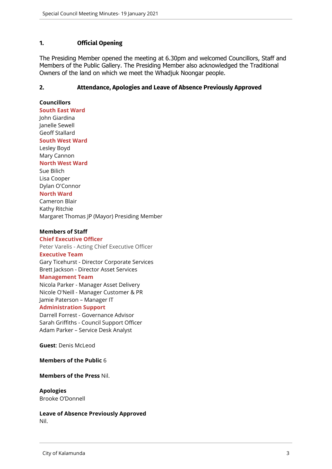## <span id="page-2-0"></span>**1. Official Opening**

The Presiding Member opened the meeting at 6.30pm and welcomed Councillors, Staff and Members of the Public Gallery. The Presiding Member also acknowledged the Traditional Owners of the land on which we meet the Whadjuk Noongar people.

#### <span id="page-2-1"></span>**2. Attendance, Apologies and Leave of Absence Previously Approved**

**Councillors**

**South East Ward**  John Giardina Janelle Sewell Geoff Stallard

#### **South West Ward**

Lesley Boyd Mary Cannon **North West Ward** Sue Bilich Lisa Cooper Dylan O'Connor **North Ward** Cameron Blair Kathy Ritchie Margaret Thomas JP (Mayor) Presiding Member

#### **Members of Staff**

**Chief Executive Officer** Peter Varelis - Acting Chief Executive Officer **Executive Team** Gary Ticehurst - Director Corporate Services Brett Jackson - Director Asset Services

#### **Management Team**

Nicola Parker - Manager Asset Delivery Nicole O'Neill - Manager Customer & PR Jamie Paterson – Manager IT

#### **Administration Support**

Darrell Forrest - Governance Advisor Sarah Griffiths - Council Support Officer Adam Parker – Service Desk Analyst

**Guest**: Denis McLeod

#### **Members of the Public** 6

#### **Members of the Press** Nil.

# **Apologies**

Brooke O'Donnell

**Leave of Absence Previously Approved** Nil.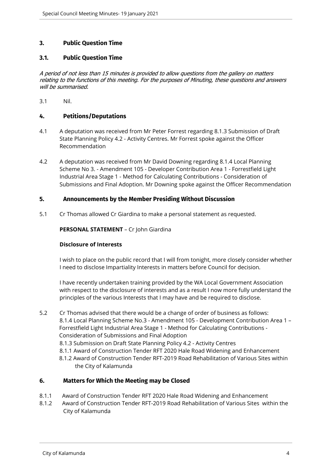## <span id="page-3-0"></span>**3. Public Question Time**

#### **3.1. Public Question Time**

*A period of not less than 15 minutes is provided to allow questions from the gallery on matters relating to the functions of this meeting. For the purposes of Minuting, these questions and answers will be summarised.*

3.1 Nil.

## <span id="page-3-1"></span>**4. Petitions/Deputations**

- 4.1 A deputation was received from Mr Peter Forrest regarding 8.1.3 Submission of Draft State Planning Policy 4.2 - Activity Centres. Mr Forrest spoke against the Officer Recommendation
- 4.2 A deputation was received from Mr David Downing regarding 8.1.4 Local Planning Scheme No 3. - Amendment 105 - Developer Contribution Area 1 - Forrestfield Light Industrial Area Stage 1 - Method for Calculating Contributions - Consideration of Submissions and Final Adoption. Mr Downing spoke against the Officer Recommendation

#### <span id="page-3-2"></span>**5. Announcements by the Member Presiding Without Discussion**

5.1 Cr Thomas allowed Cr Giardina to make a personal statement as requested.

**PERSONAL STATEMENT** – Cr John Giardina

#### **Disclosure of Interests**

I wish to place on the public record that I will from tonight, more closely consider whether I need to disclose Impartiality Interests in matters before Council for decision.

I have recently undertaken training provided by the WA Local Government Association with respect to the disclosure of interests and as a result I now more fully understand the principles of the various Interests that I may have and be required to disclose.

5.2 Cr Thomas advised that there would be a change of order of business as follows: 8.1.4 Local Planning Scheme No.3 - Amendment 105 - Development Contribution Area 1 – Forrestfield Light Industrial Area Stage 1 - Method for Calculating Contributions - Consideration of Submissions and Final Adoption 8.1.3 Submission on Draft State Planning Policy 4.2 - Activity Centres 8.1.1 Award of Construction Tender RFT 2020 Hale Road Widening and Enhancement 8.1.2 Award of Construction Tender RFT-2019 Road Rehabilitation of Various Sites within the City of Kalamunda

## <span id="page-3-3"></span>**6. Matters for Which the Meeting may be Closed**

- 8.1.1 Award of Construction Tender RFT 2020 Hale Road Widening and Enhancement
- 8.1.2 Award of Construction Tender RFT-2019 Road Rehabilitation of Various Sites within the City of Kalamunda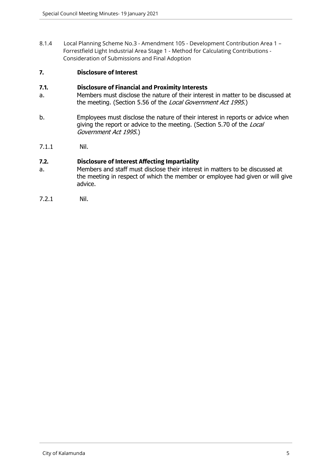8.1.4 Local Planning Scheme No.3 - Amendment 105 - Development Contribution Area 1 – Forrestfield Light Industrial Area Stage 1 - Method for Calculating Contributions - Consideration of Submissions and Final Adoption

## <span id="page-4-0"></span>**7. Disclosure of Interest**

## **7.1. Disclosure of Financial and Proximity Interests**

- a. Members must disclose the nature of their interest in matter to be discussed at the meeting. (Section 5.56 of the *Local Government Act 1995*.)
- b. Employees must disclose the nature of their interest in reports or advice when giving the report or advice to the meeting. (Section 5.70 of the *Local Government Act 1995*.)
- 7.1.1 Nil.

# **7.2. Disclosure of Interest Affecting Impartiality**

- a. Members and staff must disclose their interest in matters to be discussed at the meeting in respect of which the member or employee had given or will give advice.
- 7.2.1 Nil.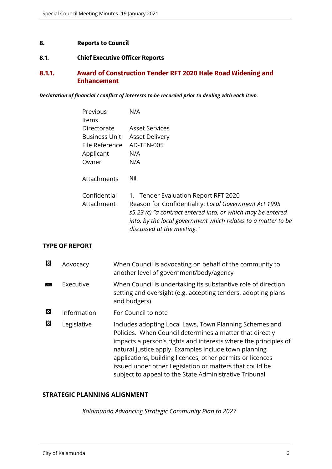## <span id="page-5-0"></span>**8. Reports to Council**

#### <span id="page-5-1"></span>**8.1. Chief Executive Officer Reports**

# <span id="page-5-2"></span>**8.1.1. Award of Construction Tender RFT 2020 Hale Road Widening and Enhancement**

*Declaration of financial / conflict of interests to be recorded prior to dealing with each item.*

| Previous<br>Items          | N/A                                                                                                                                                                                                                                                         |
|----------------------------|-------------------------------------------------------------------------------------------------------------------------------------------------------------------------------------------------------------------------------------------------------------|
| Directorate                | Asset Services                                                                                                                                                                                                                                              |
| <b>Business Unit</b>       | <b>Asset Delivery</b>                                                                                                                                                                                                                                       |
| File Reference             | AD-TEN-005                                                                                                                                                                                                                                                  |
| Applicant                  | N/A                                                                                                                                                                                                                                                         |
| Owner                      | N/A                                                                                                                                                                                                                                                         |
| Attachments                | Nil                                                                                                                                                                                                                                                         |
| Confidential<br>Attachment | 1. Tender Evaluation Report RFT 2020<br>Reason for Confidentiality: Local Government Act 1995<br>s5.23 (c) "a contract entered into, or which may be entered<br>into, by the local government which relates to a matter to be<br>discussed at the meeting." |

# **TYPE OF REPORT**

| 図 | Advocacy    | When Council is advocating on behalf of the community to<br>another level of government/body/agency                                                                                                                                                                                                                                                                                                                                |
|---|-------------|------------------------------------------------------------------------------------------------------------------------------------------------------------------------------------------------------------------------------------------------------------------------------------------------------------------------------------------------------------------------------------------------------------------------------------|
| m | Executive   | When Council is undertaking its substantive role of direction<br>setting and oversight (e.g. accepting tenders, adopting plans<br>and budgets)                                                                                                                                                                                                                                                                                     |
| 囜 | Information | For Council to note                                                                                                                                                                                                                                                                                                                                                                                                                |
| 図 | Legislative | Includes adopting Local Laws, Town Planning Schemes and<br>Policies. When Council determines a matter that directly<br>impacts a person's rights and interests where the principles of<br>natural justice apply. Examples include town planning<br>applications, building licences, other permits or licences<br>issued under other Legislation or matters that could be<br>subject to appeal to the State Administrative Tribunal |

# **STRATEGIC PLANNING ALIGNMENT**

*Kalamunda Advancing Strategic Community Plan to 2027*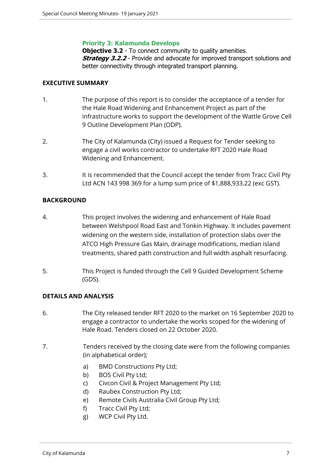## **Priority 3: Kalamunda Develops**

**Objective 3.2** - To connect community to quality amenities. **Strategy 3.2.2** - Provide and advocate for improved transport solutions and better connectivity through integrated transport planning.

## **EXECUTIVE SUMMARY**

- 1. The purpose of this report is to consider the acceptance of a tender for the Hale Road Widening and Enhancement Project as part of the infrastructure works to support the development of the Wattle Grove Cell 9 Outline Development Plan (ODP).
- 2. The City of Kalamunda (City) issued a Request for Tender seeking to engage a civil works contractor to undertake RFT 2020 Hale Road Widening and Enhancement.
- 3. It is recommended that the Council accept the tender from Tracc Civil Pty Ltd ACN 143 998 369 for a lump sum price of \$1,888,933.22 (exc GST).

# **BACKGROUND**

- 4. This project involves the widening and enhancement of Hale Road between Welshpool Road East and Tonkin Highway. It includes pavement widening on the western side, installation of protection slabs over the ATCO High Pressure Gas Main, drainage modifications, median island treatments, shared path construction and full width asphalt resurfacing.
- 5. This Project is funded through the Cell 9 Guided Development Scheme (GDS).

# **DETAILS AND ANALYSIS**

- 6. The City released tender RFT 2020 to the market on 16 September 2020 to engage a contractor to undertake the works scoped for the widening of Hale Road. Tenders closed on 22 October 2020.
- 7. Tenders received by the closing date were from the following companies (in alphabetical order);
	- a) BMD Constructions Pty Ltd;
	- b) BOS Civil Pty Ltd;
	- c) Civcon Civil & Project Management Pty Ltd;
	- d) Raubex Construction Pty Ltd;
	- e) Remote Civils Australia Civil Group Pty Ltd;
	- f) Tracc Civil Pty Ltd;
	- g) WCP Civil Pty Ltd.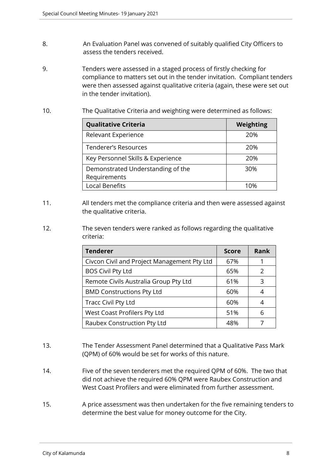- 8. An Evaluation Panel was convened of suitably qualified City Officers to assess the tenders received.
- 9. Tenders were assessed in a staged process of firstly checking for compliance to matters set out in the tender invitation. Compliant tenders were then assessed against qualitative criteria (again, these were set out in the tender invitation).
- 10. The Qualitative Criteria and weighting were determined as follows:

| <b>Qualitative Criteria</b>       | <b>Weighting</b> |
|-----------------------------------|------------------|
| Relevant Experience               | 20%              |
| <b>Tenderer's Resources</b>       | 20%              |
| Key Personnel Skills & Experience | 20%              |
| Demonstrated Understanding of the | 30%              |
| Requirements                      |                  |
| <b>Local Benefits</b>             | 1በ%              |

- 11. All tenders met the compliance criteria and then were assessed against the qualitative criteria.
- 12. The seven tenders were ranked as follows regarding the qualitative criteria:

| <b>Tenderer</b>                             | <b>Score</b> | <b>Rank</b>   |
|---------------------------------------------|--------------|---------------|
| Civcon Civil and Project Management Pty Ltd | 67%          |               |
| <b>BOS Civil Pty Ltd</b>                    | 65%          | $\mathcal{P}$ |
| Remote Civils Australia Group Pty Ltd       | 61%          | 3             |
| <b>BMD Constructions Pty Ltd</b>            | 60%          |               |
| <b>Tracc Civil Pty Ltd</b>                  | 60%          |               |
| West Coast Profilers Pty Ltd                | 51%          | 6             |
| Raubex Construction Pty Ltd                 | 48%          |               |

- 13. The Tender Assessment Panel determined that a Qualitative Pass Mark (QPM) of 60% would be set for works of this nature.
- 14. Five of the seven tenderers met the required QPM of 60%. The two that did not achieve the required 60% QPM were Raubex Construction and West Coast Profilers and were eliminated from further assessment.
- 15. A price assessment was then undertaken for the five remaining tenders to determine the best value for money outcome for the City.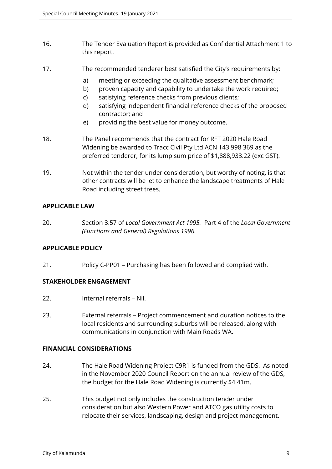- 16. The Tender Evaluation Report is provided as Confidential Attachment 1 to this report.
- 17. The recommended tenderer best satisfied the City's requirements by:
	- a) meeting or exceeding the qualitative assessment benchmark;
	- b) proven capacity and capability to undertake the work required;
	- c) satisfying reference checks from previous clients;
	- d) satisfying independent financial reference checks of the proposed contractor; and
	- e) providing the best value for money outcome.
- 18. The Panel recommends that the contract for RFT 2020 Hale Road Widening be awarded to Tracc Civil Pty Ltd ACN 143 998 369 as the preferred tenderer, for its lump sum price of \$1,888,933.22 (exc GST).
- 19. Not within the tender under consideration, but worthy of noting, is that other contracts will be let to enhance the landscape treatments of Hale Road including street trees.

# **APPLICABLE LAW**

20. Section 3.57 of *Local Government Act 1995.* Part 4 of the *Local Government (Functions and General) Regulations 1996.*

# **APPLICABLE POLICY**

21. Policy C-PP01 – Purchasing has been followed and complied with.

# **STAKEHOLDER ENGAGEMENT**

- 22. Internal referrals Nil.
- 23. External referrals Project commencement and duration notices to the local residents and surrounding suburbs will be released, along with communications in conjunction with Main Roads WA.

## **FINANCIAL CONSIDERATIONS**

- 24. The Hale Road Widening Project C9R1 is funded from the GDS. As noted in the November 2020 Council Report on the annual review of the GDS, the budget for the Hale Road Widening is currently \$4.41m.
- 25. This budget not only includes the construction tender under consideration but also Western Power and ATCO gas utility costs to relocate their services, landscaping, design and project management.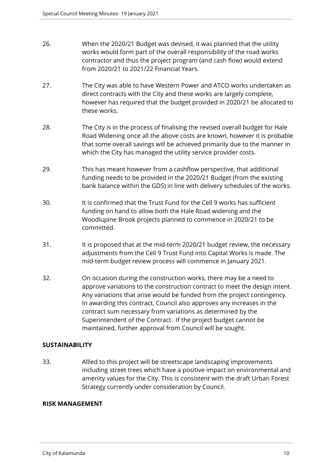- 26. When the 2020/21 Budget was devised, it was planned that the utility works would form part of the overall responsibility of the road works contractor and thus the project program (and cash flow) would extend from 2020/21 to 2021/22 Financial Years.
- 27. The City was able to have Western Power and ATCO works undertaken as direct contracts with the City and these works are largely complete, however has required that the budget provided in 2020/21 be allocated to these works.
- 28. The City is in the process of finalising the revised overall budget for Hale Road Widening once all the above costs are known, however it is probable that some overall savings will be achieved primarily due to the manner in which the City has managed the utility service provider costs.
- 29. This has meant however from a cashflow perspective, that additional funding needs to be provided in the 2020/21 Budget (from the existing bank balance within the GDS) in line with delivery schedules of the works.
- 30. It is confirmed that the Trust Fund for the Cell 9 works has sufficient funding on hand to allow both the Hale Road widening and the Woodlupine Brook projects planned to commence in 2020/21 to be committed.
- 31. It is proposed that at the mid-term 2020/21 budget review, the necessary adjustments from the Cell 9 Trust Fund into Capital Works is made. The mid-term budget review process will commence in January 2021.
- 32. On occasion during the construction works, there may be a need to approve variations to the construction contract to meet the design intent. Any variations that arise would be funded from the project contingency. In awarding this contract, Council also approves any increases in the contract sum necessary from variations as determined by the Superintendent of the Contract. If the project budget cannot be maintained, further approval from Council will be sought.

# **SUSTAINABILITY**

33. Allied to this project will be streetscape landscaping improvements including street trees which have a positive impact on environmental and amenity values for the City. This is consistent with the draft Urban Forest Strategy currently under consideration by Council.

# **RISK MANAGEMENT**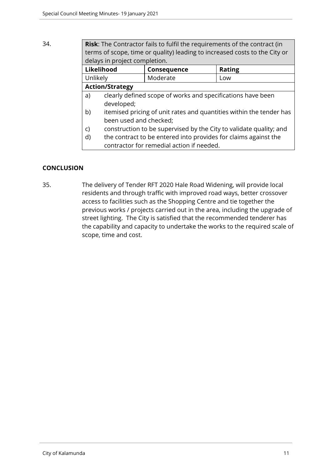# 34. **Risk**: The Contractor fails to fulfil the requirements of the contract (in terms of scope, time or quality) leading to increased costs to the City or delays in project completion.

| Likelihood             | <b>Consequence</b> | <b>Rating</b> |
|------------------------|--------------------|---------------|
| Unlikely               | Moderate           | Low           |
| <b>Action/Strategy</b> |                    |               |
|                        |                    |               |

- a) clearly defined scope of works and specifications have been developed;
- b) itemised pricing of unit rates and quantities within the tender has been used and checked;
- c) construction to be supervised by the City to validate quality; and
- d) the contract to be entered into provides for claims against the contractor for remedial action if needed.

# **CONCLUSION**

35. The delivery of Tender RFT 2020 Hale Road Widening, will provide local residents and through traffic with improved road ways, better crossover access to facilities such as the Shopping Centre and tie together the previous works / projects carried out in the area, including the upgrade of street lighting. The City is satisfied that the recommended tenderer has the capability and capacity to undertake the works to the required scale of scope, time and cost.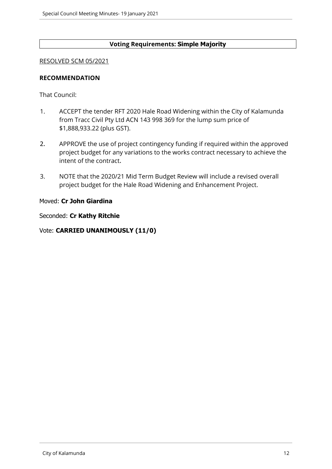# **Voting Requirements: Simple Majority**

#### RESOLVED SCM 05/2021

## **RECOMMENDATION**

That Council:

- 1. ACCEPT the tender RFT 2020 Hale Road Widening within the City of Kalamunda from Tracc Civil Pty Ltd ACN 143 998 369 for the lump sum price of \$1,888,933.22 (plus GST).
- 2. APPROVE the use of project contingency funding if required within the approved project budget for any variations to the works contract necessary to achieve the intent of the contract.
- 3. NOTE that the 2020/21 Mid Term Budget Review will include a revised overall project budget for the Hale Road Widening and Enhancement Project.

## Moved: **Cr John Giardina**

Seconded: **Cr Kathy Ritchie**

# Vote: **CARRIED UNANIMOUSLY (11/0)**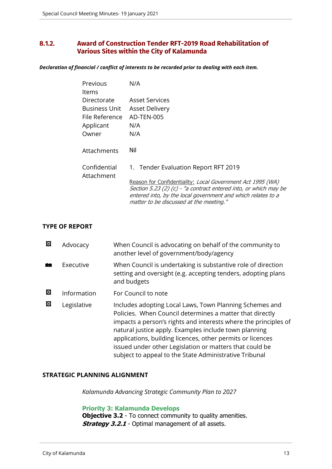# <span id="page-12-0"></span>**8.1.2. Award of Construction Tender RFT-2019 Road Rehabilitation of Various Sites within the City of Kalamunda**

*Declaration of financial / conflict of interests to be recorded prior to dealing with each item.*

| Previous<br>ltems                                                    | N/A                                                                                                                                                                                                                                                                               |
|----------------------------------------------------------------------|-----------------------------------------------------------------------------------------------------------------------------------------------------------------------------------------------------------------------------------------------------------------------------------|
| Directorate<br>Business Unit<br>File Reference<br>Applicant<br>Owner | Asset Services<br><b>Asset Delivery</b><br>AD-TEN-005<br>N/A<br>N/A                                                                                                                                                                                                               |
| Attachments                                                          | Nil                                                                                                                                                                                                                                                                               |
| Confidential<br>Attachment                                           | 1. Tender Evaluation Report RFT 2019<br>Reason for Confidentiality: Local Government Act 1995 (WA)<br>Section 5.23 (2) (c) - "a contract entered into, or which may be<br>entered into, by the local government and which relates to a<br>matter to be discussed at the meeting." |

# **TYPE OF REPORT**

| 囨 | Advocacy    | When Council is advocating on behalf of the community to<br>another level of government/body/agency                                                                                                                                                                                                                                                                                                                                |
|---|-------------|------------------------------------------------------------------------------------------------------------------------------------------------------------------------------------------------------------------------------------------------------------------------------------------------------------------------------------------------------------------------------------------------------------------------------------|
|   | Executive   | When Council is undertaking is substantive role of direction<br>setting and oversight (e.g. accepting tenders, adopting plans<br>and budgets                                                                                                                                                                                                                                                                                       |
| 囜 | Information | For Council to note                                                                                                                                                                                                                                                                                                                                                                                                                |
| 図 | Legislative | Includes adopting Local Laws, Town Planning Schemes and<br>Policies. When Council determines a matter that directly<br>impacts a person's rights and interests where the principles of<br>natural justice apply. Examples include town planning<br>applications, building licences, other permits or licences<br>issued under other Legislation or matters that could be<br>subject to appeal to the State Administrative Tribunal |

## **STRATEGIC PLANNING ALIGNMENT**

*Kalamunda Advancing Strategic Community Plan to 2027*

## **Priority 3: Kalamunda Develops**

**Objective 3.2** - To connect community to quality amenities. **Strategy 3.2.1** - Optimal management of all assets.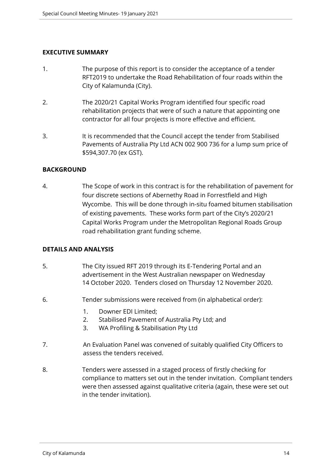# **EXECUTIVE SUMMARY**

- 1. The purpose of this report is to consider the acceptance of a tender RFT2019 to undertake the Road Rehabilitation of four roads within the City of Kalamunda (City).
- 2. The 2020/21 Capital Works Program identified four specific road rehabilitation projects that were of such a nature that appointing one contractor for all four projects is more effective and efficient.
- 3. It is recommended that the Council accept the tender from Stabilised Pavements of Australia Pty Ltd ACN 002 900 736 for a lump sum price of \$594,307.70 (ex GST).

# **BACKGROUND**

4. The Scope of work in this contract is for the rehabilitation of pavement for four discrete sections of Abernethy Road in Forrestfield and High Wycombe. This will be done through in-situ foamed bitumen stabilisation of existing pavements. These works form part of the City's 2020/21 Capital Works Program under the Metropolitan Regional Roads Group road rehabilitation grant funding scheme.

# **DETAILS AND ANALYSIS**

- 5. The City issued RFT 2019 through its E-Tendering Portal and an advertisement in the West Australian newspaper on Wednesday 14 October 2020. Tenders closed on Thursday 12 November 2020.
- 6. Tender submissions were received from (in alphabetical order):
	- 1. Downer EDI Limited;
	- 2. Stabilised Pavement of Australia Pty Ltd; and
	- 3. WA Profiling & Stabilisation Pty Ltd
- 7. An Evaluation Panel was convened of suitably qualified City Officers to assess the tenders received.
- 8. Tenders were assessed in a staged process of firstly checking for compliance to matters set out in the tender invitation. Compliant tenders were then assessed against qualitative criteria (again, these were set out in the tender invitation).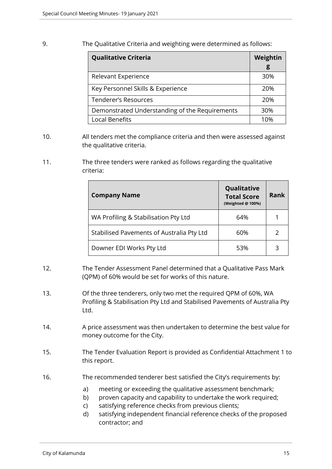## 9. The Qualitative Criteria and weighting were determined as follows:

| <b>Qualitative Criteria</b>                    | Weightin<br>g |
|------------------------------------------------|---------------|
| Relevant Experience                            | 30%           |
| Key Personnel Skills & Experience              | 20%           |
| <b>Tenderer's Resources</b>                    | 20%           |
| Demonstrated Understanding of the Requirements | 30%           |
| <b>Local Benefits</b>                          | 10%           |

- 10. All tenders met the compliance criteria and then were assessed against the qualitative criteria.
- 11. The three tenders were ranked as follows regarding the qualitative criteria:

| <b>Company Name</b>                       | Qualitative<br><b>Total Score</b><br>(Weighted @ 100%) | <b>Rank</b> |
|-------------------------------------------|--------------------------------------------------------|-------------|
| WA Profiling & Stabilisation Pty Ltd      | 64%                                                    |             |
| Stabilised Pavements of Australia Pty Ltd | 60%                                                    |             |
| Downer EDI Works Pty Ltd                  | 53%                                                    | 3           |

- 12. The Tender Assessment Panel determined that a Qualitative Pass Mark (QPM) of 60% would be set for works of this nature.
- 13. Of the three tenderers, only two met the required QPM of 60%, WA Profiling & Stabilisation Pty Ltd and Stabilised Pavements of Australia Pty Ltd.
- 14. A price assessment was then undertaken to determine the best value for money outcome for the City.
- 15. The Tender Evaluation Report is provided as Confidential Attachment 1 to this report.
- 16. The recommended tenderer best satisfied the City's requirements by:
	- a) meeting or exceeding the qualitative assessment benchmark;
	- b) proven capacity and capability to undertake the work required;
	- c) satisfying reference checks from previous clients;
	- d) satisfying independent financial reference checks of the proposed contractor; and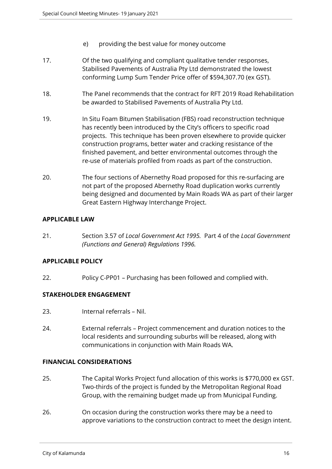- e) providing the best value for money outcome
- 17. Of the two qualifying and compliant qualitative tender responses, Stabilised Pavements of Australia Pty Ltd demonstrated the lowest conforming Lump Sum Tender Price offer of \$594,307.70 (ex GST).
- 18. The Panel recommends that the contract for RFT 2019 Road Rehabilitation be awarded to Stabilised Pavements of Australia Pty Ltd.
- 19. In Situ Foam Bitumen Stabilisation (FBS) road reconstruction technique has recently been introduced by the City's officers to specific road projects. This technique has been proven elsewhere to provide quicker construction programs, better water and cracking resistance of the finished pavement, and better environmental outcomes through the re-use of materials profiled from roads as part of the construction.
- 20. The four sections of Abernethy Road proposed for this re-surfacing are not part of the proposed Abernethy Road duplication works currently being designed and documented by Main Roads WA as part of their larger Great Eastern Highway Interchange Project.

# **APPLICABLE LAW**

21. Section 3.57 of *Local Government Act 1995.* Part 4 of the *Local Government (Functions and General) Regulations 1996.*

# **APPLICABLE POLICY**

22. Policy C-PP01 – Purchasing has been followed and complied with.

## **STAKEHOLDER ENGAGEMENT**

- 23. Internal referrals Nil.
- 24. External referrals Project commencement and duration notices to the local residents and surrounding suburbs will be released, along with communications in conjunction with Main Roads WA.

# **FINANCIAL CONSIDERATIONS**

- 25. The Capital Works Project fund allocation of this works is \$770,000 ex GST. Two-thirds of the project is funded by the Metropolitan Regional Road Group, with the remaining budget made up from Municipal Funding.
- 26. On occasion during the construction works there may be a need to approve variations to the construction contract to meet the design intent.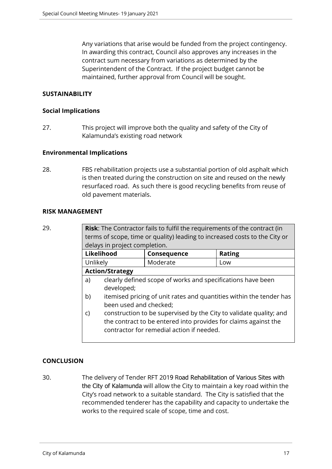Any variations that arise would be funded from the project contingency. In awarding this contract, Council also approves any increases in the contract sum necessary from variations as determined by the Superintendent of the Contract. If the project budget cannot be maintained, further approval from Council will be sought.

# **SUSTAINABILITY**

# **Social Implications**

27. This project will improve both the quality and safety of the City of Kalamunda's existing road network

# **Environmental Implications**

28. FBS rehabilitation projects use a substantial portion of old asphalt which is then treated during the construction on site and reused on the newly resurfaced road. As such there is good recycling benefits from reuse of old pavement materials.

## **RISK MANAGEMENT**

| ۰.<br>v<br>i<br>. .<br>۰.<br>v |  |
|--------------------------------|--|
|--------------------------------|--|

**Risk:** The Contractor fails to fulfil the requirements of the contract (in terms of scope, time or quality) leading to increased costs to the City or delays in project completion.

| <b>Likelihood</b>      | <b>Consequence</b> | <b>Rating</b> |
|------------------------|--------------------|---------------|
| Unlikely               | Moderate           | LOW           |
| <b>Action/Strategy</b> |                    |               |

- a) clearly defined scope of works and specifications have been developed;
- b) itemised pricing of unit rates and quantities within the tender has been used and checked;
- c) construction to be supervised by the City to validate quality; and the contract to be entered into provides for claims against the contractor for remedial action if needed.

# **CONCLUSION**

30. The delivery of Tender RFT 2019 Road Rehabilitation of Various Sites with the City of Kalamunda will allow the City to maintain a key road within the City's road network to a suitable standard. The City is satisfied that the recommended tenderer has the capability and capacity to undertake the works to the required scale of scope, time and cost.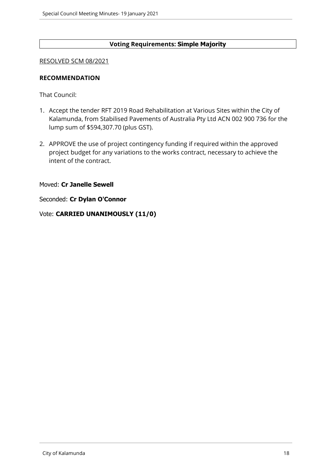# **Voting Requirements: Simple Majority**

#### RESOLVED SCM 08/2021

## **RECOMMENDATION**

That Council:

- 1. Accept the tender RFT 2019 Road Rehabilitation at Various Sites within the City of Kalamunda, from Stabilised Pavements of Australia Pty Ltd ACN 002 900 736 for the lump sum of \$594,307.70 (plus GST).
- 2. APPROVE the use of project contingency funding if required within the approved project budget for any variations to the works contract, necessary to achieve the intent of the contract.

Moved: **Cr Janelle Sewell**

Seconded: **Cr Dylan O'Connor**

Vote: **CARRIED UNANIMOUSLY (11/0)**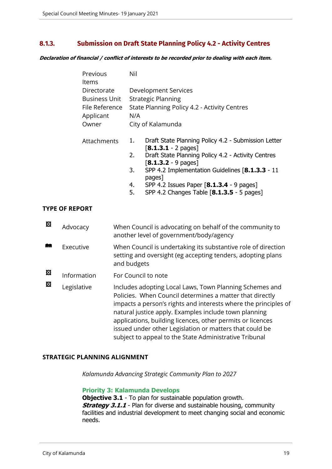# <span id="page-18-0"></span>**8.1.3. Submission on Draft State Planning Policy 4.2 - Activity Centres**

*Declaration of financial / conflict of interests to be recorded prior to dealing with each item.*

| Previous<br>ltems           | Nil                                                 |                                                                              |  |
|-----------------------------|-----------------------------------------------------|------------------------------------------------------------------------------|--|
| Directorate                 | Development Services                                |                                                                              |  |
| Business Unit               | <b>Strategic Planning</b>                           |                                                                              |  |
| File Reference<br>Applicant | State Planning Policy 4.2 - Activity Centres<br>N/A |                                                                              |  |
| Owner                       |                                                     | City of Kalamunda                                                            |  |
| Attachments                 | 1.                                                  | Draft State Planning Policy 4.2 - Submission Letter<br>$[8.1.3.1 - 2$ pages] |  |
|                             | 2.                                                  | Draft State Planning Policy 4.2 - Activity Centres<br>$[8.1.3.2 - 9$ pages]  |  |
|                             | 3.                                                  | SPP 4.2 Implementation Guidelines [8.1.3.3 - 11<br>pages]                    |  |
|                             | 4.                                                  | SPP 4.2 Issues Paper [8.1.3.4 - 9 pages]                                     |  |
|                             | 5.                                                  | SPP 4.2 Changes Table $[8.1.3.5 - 5$ pages]                                  |  |

## **TYPE OF REPORT**

| 図 | Advocacy    | When Council is advocating on behalf of the community to<br>another level of government/body/agency                                                                                                                                                                                                                                                                                                                                |
|---|-------------|------------------------------------------------------------------------------------------------------------------------------------------------------------------------------------------------------------------------------------------------------------------------------------------------------------------------------------------------------------------------------------------------------------------------------------|
|   | Executive   | When Council is undertaking its substantive role of direction<br>setting and oversight (eg accepting tenders, adopting plans<br>and budgets                                                                                                                                                                                                                                                                                        |
| 図 | Information | For Council to note                                                                                                                                                                                                                                                                                                                                                                                                                |
| 図 | Legislative | Includes adopting Local Laws, Town Planning Schemes and<br>Policies. When Council determines a matter that directly<br>impacts a person's rights and interests where the principles of<br>natural justice apply. Examples include town planning<br>applications, building licences, other permits or licences<br>issued under other Legislation or matters that could be<br>subject to appeal to the State Administrative Tribunal |

## **STRATEGIC PLANNING ALIGNMENT**

*Kalamunda Advancing Strategic Community Plan to 2027*

## **Priority 3: Kalamunda Develops**

**Objective 3.1** - To plan for sustainable population growth. **Strategy 3.1.1** - Plan for diverse and sustainable housing, community facilities and industrial development to meet changing social and economic needs.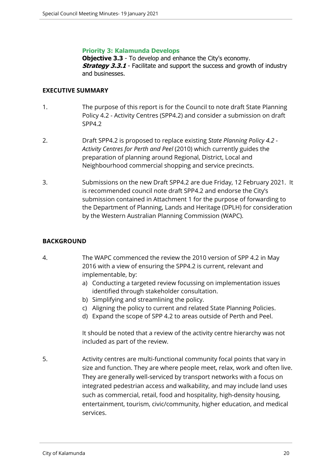## **Priority 3: Kalamunda Develops**

**Objective 3.3** - To develop and enhance the City's economy. **Strategy 3.3.1** - Facilitate and support the success and growth of industry and businesses.

## **EXECUTIVE SUMMARY**

- 1. The purpose of this report is for the Council to note draft State Planning Policy 4.2 - Activity Centres (SPP4.2) and consider a submission on draft SPP4.2
- 2. Draft SPP4.2 is proposed to replace existing *State Planning Policy 4.2 Activity Centres for Perth and Peel* (2010) which currently guides the preparation of planning around Regional, District, Local and Neighbourhood commercial shopping and service precincts.
- 3. Submissions on the new Draft SPP4.2 are due Friday, 12 February 2021. It is recommended council note draft SPP4.2 and endorse the City's submission contained in Attachment 1 for the purpose of forwarding to the Department of Planning, Lands and Heritage (DPLH) for consideration by the Western Australian Planning Commission (WAPC).

# **BACKGROUND**

- 4. The WAPC commenced the review the 2010 version of SPP 4.2 in May 2016 with a view of ensuring the SPP4.2 is current, relevant and implementable, by:
	- a) Conducting a targeted review focussing on implementation issues identified through stakeholder consultation.
	- b) Simplifying and streamlining the policy.
	- c) Aligning the policy to current and related State Planning Policies.
	- d) Expand the scope of SPP 4.2 to areas outside of Perth and Peel.

It should be noted that a review of the activity centre hierarchy was not included as part of the review.

5. Activity centres are multi-functional community focal points that vary in size and function. They are where people meet, relax, work and often live. They are generally well-serviced by transport networks with a focus on integrated pedestrian access and walkability, and may include land uses such as commercial, retail, food and hospitality, high-density housing, entertainment, tourism, civic/community, higher education, and medical services.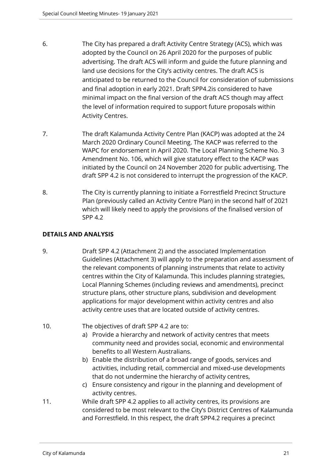- 6. The City has prepared a draft Activity Centre Strategy (ACS), which was adopted by the Council on 26 April 2020 for the purposes of public advertising. The draft ACS will inform and guide the future planning and land use decisions for the City's activity centres. The draft ACS is anticipated to be returned to the Council for consideration of submissions and final adoption in early 2021. Draft SPP4.2is considered to have minimal impact on the final version of the draft ACS though may affect the level of information required to support future proposals within Activity Centres.
- 7. The draft Kalamunda Activity Centre Plan (KACP) was adopted at the 24 March 2020 Ordinary Council Meeting. The KACP was referred to the WAPC for endorsement in April 2020. The Local Planning Scheme No. 3 Amendment No. 106, which will give statutory effect to the KACP was initiated by the Council on 24 November 2020 for public advertising. The draft SPP 4.2 is not considered to interrupt the progression of the KACP.
- 8. The City is currently planning to initiate a Forrestfield Precinct Structure Plan (previously called an Activity Centre Plan) in the second half of 2021 which will likely need to apply the provisions of the finalised version of SPP 4.2

# **DETAILS AND ANALYSIS**

- 9. Draft SPP 4.2 (Attachment 2) and the associated Implementation Guidelines (Attachment 3) will apply to the preparation and assessment of the relevant components of planning instruments that relate to activity centres within the City of Kalamunda. This includes planning strategies, Local Planning Schemes (including reviews and amendments), precinct structure plans, other structure plans, subdivision and development applications for major development within activity centres and also activity centre uses that are located outside of activity centres.
- 10. The objectives of draft SPP 4.2 are to:
	- a) Provide a hierarchy and network of activity centres that meets community need and provides social, economic and environmental benefits to all Western Australians.
	- b) Enable the distribution of a broad range of goods, services and activities, including retail, commercial and mixed-use developments that do not undermine the hierarchy of activity centres,
	- c) Ensure consistency and rigour in the planning and development of activity centres.
- 11. While draft SPP 4.2 applies to all activity centres, its provisions are considered to be most relevant to the City's District Centres of Kalamunda and Forrestfield. In this respect, the draft SPP4.2 requires a precinct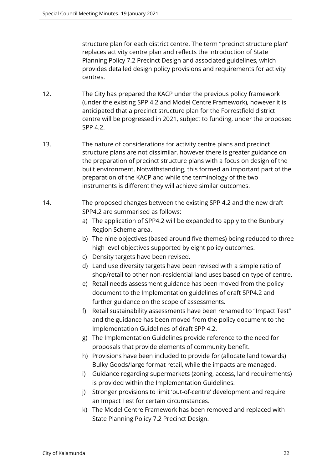structure plan for each district centre. The term "precinct structure plan" replaces activity centre plan and reflects the introduction of State Planning Policy 7.2 Precinct Design and associated guidelines, which provides detailed design policy provisions and requirements for activity centres.

- 12. The City has prepared the KACP under the previous policy framework (under the existing SPP 4.2 and Model Centre Framework), however it is anticipated that a precinct structure plan for the Forrestfield district centre will be progressed in 2021, subject to funding, under the proposed SPP 4.2.
- 13. The nature of considerations for activity centre plans and precinct structure plans are not dissimilar, however there is greater guidance on the preparation of precinct structure plans with a focus on design of the built environment. Notwithstanding, this formed an important part of the preparation of the KACP and while the terminology of the two instruments is different they will achieve similar outcomes.
- 14. The proposed changes between the existing SPP 4.2 and the new draft SPP4.2 are summarised as follows:
	- a) The application of SPP4.2 will be expanded to apply to the Bunbury Region Scheme area.
	- b) The nine objectives (based around five themes) being reduced to three high level objectives supported by eight policy outcomes.
	- c) Density targets have been revised.
	- d) Land use diversity targets have been revised with a simple ratio of shop/retail to other non-residential land uses based on type of centre.
	- e) Retail needs assessment guidance has been moved from the policy document to the Implementation guidelines of draft SPP4.2 and further guidance on the scope of assessments.
	- f) Retail sustainability assessments have been renamed to "Impact Test" and the guidance has been moved from the policy document to the Implementation Guidelines of draft SPP 4.2.
	- g) The Implementation Guidelines provide reference to the need for proposals that provide elements of community benefit.
	- h) Provisions have been included to provide for (allocate land towards) Bulky Goods/large format retail, while the impacts are managed.
	- i) Guidance regarding supermarkets (zoning, access, land requirements) is provided within the Implementation Guidelines.
	- j) Stronger provisions to limit 'out-of-centre' development and require an Impact Test for certain circumstances.
	- k) The Model Centre Framework has been removed and replaced with State Planning Policy 7.2 Precinct Design.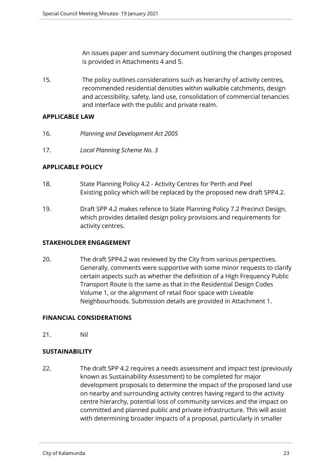An issues paper and summary document outlining the changes proposed is provided in Attachments 4 and 5.

15. The policy outlines considerations such as hierarchy of activity centres, recommended residential densities within walkable catchments, design and accessibility, safety, land use, consolidation of commercial tenancies and interface with the public and private realm.

# **APPLICABLE LAW**

- 16. *Planning and Development Act 2005*
- 17. *Local Planning Scheme No. 3*

# **APPLICABLE POLICY**

- 18. State Planning Policy 4.2 Activity Centres for Perth and Peel Existing policy which will be replaced by the proposed new draft SPP4.2.
- 19. Draft SPP 4.2 makes refence to State Planning Policy 7.2 Precinct Design, which provides detailed design policy provisions and requirements for activity centres.

# **STAKEHOLDER ENGAGEMENT**

20. The draft SPP4.2 was reviewed by the City from various perspectives. Generally, comments were supportive with some minor requests to clarify certain aspects such as whether the definition of a High Frequency Public Transport Route is the same as that in the Residential Design Codes Volume 1, or the alignment of retail floor space with Liveable Neighbourhoods. Submission details are provided in Attachment 1.

# **FINANCIAL CONSIDERATIONS**

21. Nil

# **SUSTAINABILITY**

22. The draft SPP 4.2 requires a needs assessment and impact test (previously known as Sustainability Assessment) to be completed for major development proposals to determine the impact of the proposed land use on nearby and surrounding activity centres having regard to the activity centre hierarchy, potential loss of community services and the impact on committed and planned public and private infrastructure. This will assist with determining broader impacts of a proposal, particularly in smaller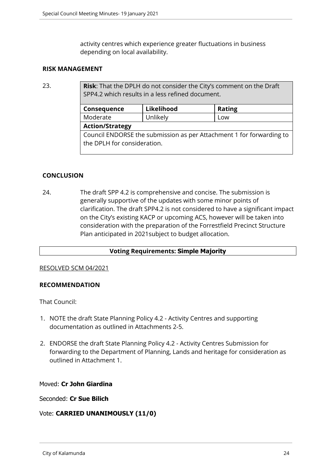activity centres which experience greater fluctuations in business depending on local availability.

## **RISK MANAGEMENT**

23. **Risk**: That the DPLH do not consider the City's comment on the Draft SPP4.2 which results in a less refined document.

| Consequence                                                                                         | Likelihood | <b>Rating</b> |  |
|-----------------------------------------------------------------------------------------------------|------------|---------------|--|
| Moderate                                                                                            | Unlikely   | Low           |  |
| <b>Action/Strategy</b>                                                                              |            |               |  |
| Council ENDORSE the submission as per Attachment 1 for forwarding to<br>the DPLH for consideration. |            |               |  |

# **CONCLUSION**

24. The draft SPP 4.2 is comprehensive and concise. The submission is generally supportive of the updates with some minor points of clarification. The draft SPP4.2 is not considered to have a significant impact on the City's existing KACP or upcoming ACS, however will be taken into consideration with the preparation of the Forrestfield Precinct Structure Plan anticipated in 2021subject to budget allocation.

# **Voting Requirements: Simple Majority**

## RESOLVED SCM 04/2021

# **RECOMMENDATION**

That Council:

- 1. NOTE the draft State Planning Policy 4.2 Activity Centres and supporting documentation as outlined in Attachments 2-5.
- 2. ENDORSE the draft State Planning Policy 4.2 Activity Centres Submission for forwarding to the Department of Planning, Lands and heritage for consideration as outlined in Attachment 1.

## Moved: **Cr John Giardina**

Seconded: **Cr Sue Bilich**

# Vote: **CARRIED UNANIMOUSLY (11/0)**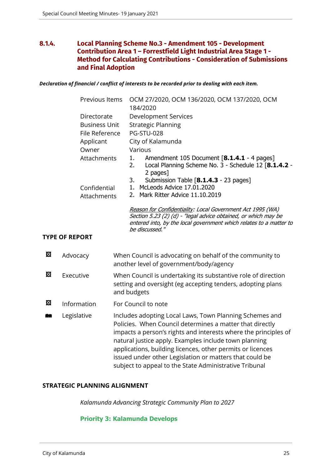# <span id="page-24-0"></span>**8.1.4. Local Planning Scheme No.3 - Amendment 105 - Development Contribution Area 1 – Forrestfield Light Industrial Area Stage 1 - Method for Calculating Contributions - Consideration of Submissions and Final Adoption**

*Declaration of financial / conflict of interests to be recorded prior to dealing with each item.*

|   | Previous Items        | OCM 27/2020, OCM 136/2020, OCM 137/2020, OCM<br>184/2020                                                                                                                                                                                                                                                                                                                                                                           |
|---|-----------------------|------------------------------------------------------------------------------------------------------------------------------------------------------------------------------------------------------------------------------------------------------------------------------------------------------------------------------------------------------------------------------------------------------------------------------------|
|   | Directorate           | <b>Development Services</b>                                                                                                                                                                                                                                                                                                                                                                                                        |
|   | <b>Business Unit</b>  | <b>Strategic Planning</b>                                                                                                                                                                                                                                                                                                                                                                                                          |
|   | File Reference        | <b>PG-STU-028</b>                                                                                                                                                                                                                                                                                                                                                                                                                  |
|   | Applicant             | City of Kalamunda                                                                                                                                                                                                                                                                                                                                                                                                                  |
|   | Owner                 | Various                                                                                                                                                                                                                                                                                                                                                                                                                            |
|   | Attachments           | Amendment 105 Document [8.1.4.1 - 4 pages]<br>1.<br>Local Planning Scheme No. 3 - Schedule 12 [8.1.4.2 -<br>2.<br>2 pages]                                                                                                                                                                                                                                                                                                         |
|   |                       | Submission Table [8.1.4.3 - 23 pages]<br>3.                                                                                                                                                                                                                                                                                                                                                                                        |
|   | Confidential          | 1. McLeods Advice 17.01.2020                                                                                                                                                                                                                                                                                                                                                                                                       |
|   | Attachments           | 2. Mark Ritter Advice 11.10.2019                                                                                                                                                                                                                                                                                                                                                                                                   |
|   | <b>TYPE OF REPORT</b> | Reason for Confidentiality: Local Government Act 1995 (WA)<br>Section 5.23 (2) (d) - "legal advice obtained, or which may be<br>entered into, by the local government which relates to a matter to<br>be discussed."                                                                                                                                                                                                               |
| 図 | Advocacy              | When Council is advocating on behalf of the community to<br>another level of government/body/agency                                                                                                                                                                                                                                                                                                                                |
| 図 | Executive             | When Council is undertaking its substantive role of direction<br>setting and oversight (eg accepting tenders, adopting plans<br>and budgets                                                                                                                                                                                                                                                                                        |
| 図 | Information           | For Council to note                                                                                                                                                                                                                                                                                                                                                                                                                |
| 鱼 | Legislative           | Includes adopting Local Laws, Town Planning Schemes and<br>Policies. When Council determines a matter that directly<br>impacts a person's rights and interests where the principles of<br>natural justice apply. Examples include town planning<br>applications, building licences, other permits or licences<br>issued under other Legislation or matters that could be<br>subject to appeal to the State Administrative Tribunal |

## **STRATEGIC PLANNING ALIGNMENT**

*Kalamunda Advancing Strategic Community Plan to 2027*

## **Priority 3: Kalamunda Develops**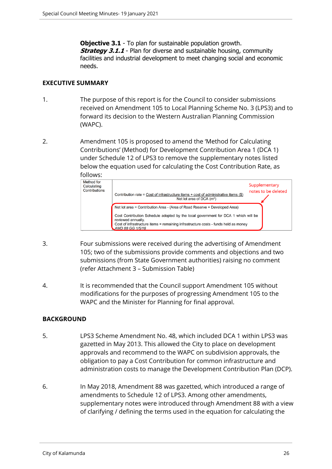**Objective 3.1** - To plan for sustainable population growth. **Strategy 3.1.1** - Plan for diverse and sustainable housing, community facilities and industrial development to meet changing social and economic needs.

## **EXECUTIVE SUMMARY**

- 1. The purpose of this report is for the Council to consider submissions received on Amendment 105 to Local Planning Scheme No. 3 (LPS3) and to forward its decision to the Western Australian Planning Commission (WAPC).
- 2. Amendment 105 is proposed to amend the 'Method for Calculating Contributions' (Method) for Development Contribution Area 1 (DCA 1) under Schedule 12 of LPS3 to remove the supplementary notes listed below the equation used for calculating the Cost Contribution Rate, as



- 3. Four submissions were received during the advertising of Amendment 105; two of the submissions provide comments and objections and two submissions (from State Government authorities) raising no comment (refer Attachment 3 – Submission Table)
- 4. It is recommended that the Council support Amendment 105 without modifications for the purposes of progressing Amendment 105 to the WAPC and the Minister for Planning for final approval.

# **BACKGROUND**

- 5. LPS3 Scheme Amendment No. 48, which included DCA 1 within LPS3 was gazetted in May 2013. This allowed the City to place on development approvals and recommend to the WAPC on subdivision approvals, the obligation to pay a Cost Contribution for common infrastructure and administration costs to manage the Development Contribution Plan (DCP).
- 6. In May 2018, Amendment 88 was gazetted, which introduced a range of amendments to Schedule 12 of LPS3. Among other amendments, supplementary notes were introduced through Amendment 88 with a view of clarifying / defining the terms used in the equation for calculating the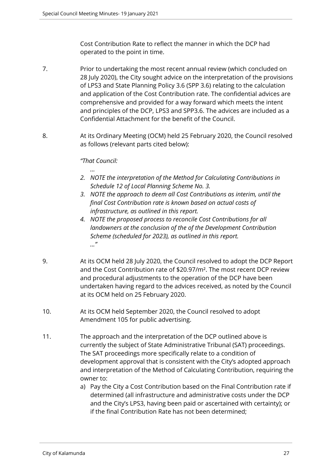Cost Contribution Rate to reflect the manner in which the DCP had operated to the point in time.

- 7. Prior to undertaking the most recent annual review (which concluded on 28 July 2020), the City sought advice on the interpretation of the provisions of LPS3 and State Planning Policy 3.6 (SPP 3.6) relating to the calculation and application of the Cost Contribution rate. The confidential advices are comprehensive and provided for a way forward which meets the intent and principles of the DCP, LPS3 and SPP3.6. The advices are included as a Confidential Attachment for the benefit of the Council.
- 8. At its Ordinary Meeting (OCM) held 25 February 2020, the Council resolved as follows (relevant parts cited below):

# *"That Council:*

*…*

- *2. NOTE the interpretation of the Method for Calculating Contributions in Schedule 12 of Local Planning Scheme No. 3.*
- *3. NOTE the approach to deem all Cost Contributions as interim, until the final Cost Contribution rate is known based on actual costs of infrastructure, as outlined in this report.*
- *4. NOTE the proposed process to reconcile Cost Contributions for all landowners at the conclusion of the of the Development Contribution Scheme (scheduled for 2023), as outlined in this report. ..."*
- 9. At its OCM held 28 July 2020, the Council resolved to adopt the DCP Report and the Cost Contribution rate of \$20.97/m². The most recent DCP review and procedural adjustments to the operation of the DCP have been undertaken having regard to the advices received, as noted by the Council at its OCM held on 25 February 2020.
- 10. At its OCM held September 2020, the Council resolved to adopt Amendment 105 for public advertising.
- 11. The approach and the interpretation of the DCP outlined above is currently the subject of State Administrative Tribunal (SAT) proceedings. The SAT proceedings more specifically relate to a condition of development approval that is consistent with the City's adopted approach and interpretation of the Method of Calculating Contribution, requiring the owner to:
	- a) Pay the City a Cost Contribution based on the Final Contribution rate if determined (all infrastructure and administrative costs under the DCP and the City's LPS3, having been paid or ascertained with certainty); or if the final Contribution Rate has not been determined;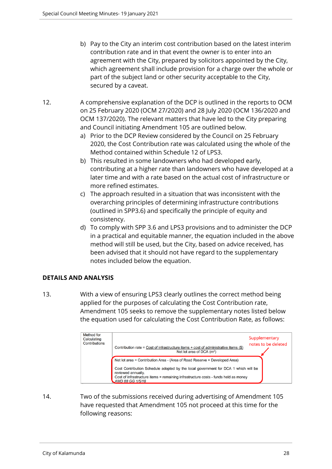- b) Pay to the City an interim cost contribution based on the latest interim contribution rate and in that event the owner is to enter into an agreement with the City, prepared by solicitors appointed by the City, which agreement shall include provision for a charge over the whole or part of the subject land or other security acceptable to the City, secured by a caveat.
- 12. A comprehensive explanation of the DCP is outlined in the reports to OCM on 25 February 2020 (OCM 27/2020) and 28 July 2020 (OCM 136/2020 and OCM 137/2020). The relevant matters that have led to the City preparing and Council initiating Amendment 105 are outlined below.
	- a) Prior to the DCP Review considered by the Council on 25 February 2020, the Cost Contribution rate was calculated using the whole of the Method contained within Schedule 12 of LPS3.
	- b) This resulted in some landowners who had developed early, contributing at a higher rate than landowners who have developed at a later time and with a rate based on the actual cost of infrastructure or more refined estimates.
	- c) The approach resulted in a situation that was inconsistent with the overarching principles of determining infrastructure contributions (outlined in SPP3.6) and specifically the principle of equity and consistency.
	- d) To comply with SPP 3.6 and LPS3 provisions and to administer the DCP in a practical and equitable manner, the equation included in the above method will still be used, but the City, based on advice received, has been advised that it should not have regard to the supplementary notes included below the equation.

# **DETAILS AND ANALYSIS**

13. With a view of ensuring LPS3 clearly outlines the correct method being applied for the purposes of calculating the Cost Contribution rate, Amendment 105 seeks to remove the supplementary notes listed below the equation used for calculating the Cost Contribution Rate, as follows:

| Method for<br>Calculating<br>Contributions | Contribution rate = Cost of infrastructure items + cost of administrative items $(\$)$<br>Net lot area of DCA $(m^2)$                                            | Supplementary<br>notes to be deleted |
|--------------------------------------------|------------------------------------------------------------------------------------------------------------------------------------------------------------------|--------------------------------------|
|                                            | Net lot area = Contribution Area - (Area of Road Reserve + Developed Area)<br>Cost Contribution Schedule adopted by the local government for DCA 1 which will be |                                      |
|                                            | reviewed annually.<br>Cost of infrastructure items = remaining infrastructure costs - funds held as money<br>AMD 88 GG 1/5/18                                    |                                      |

14. Two of the submissions received during advertising of Amendment 105 have requested that Amendment 105 not proceed at this time for the following reasons: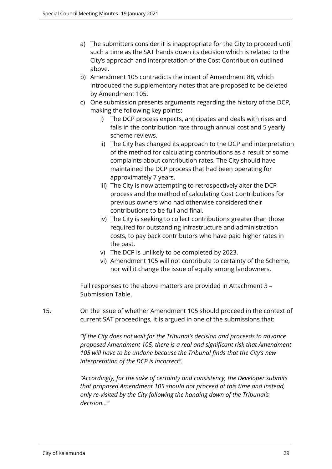- a) The submitters consider it is inappropriate for the City to proceed until such a time as the SAT hands down its decision which is related to the City's approach and interpretation of the Cost Contribution outlined above.
- b) Amendment 105 contradicts the intent of Amendment 88, which introduced the supplementary notes that are proposed to be deleted by Amendment 105.
- c) One submission presents arguments regarding the history of the DCP, making the following key points:
	- i) The DCP process expects, anticipates and deals with rises and falls in the contribution rate through annual cost and 5 yearly scheme reviews.
	- ii) The City has changed its approach to the DCP and interpretation of the method for calculating contributions as a result of some complaints about contribution rates. The City should have maintained the DCP process that had been operating for approximately 7 years.
	- iii) The City is now attempting to retrospectively alter the DCP process and the method of calculating Cost Contributions for previous owners who had otherwise considered their contributions to be full and final.
	- iv) The City is seeking to collect contributions greater than those required for outstanding infrastructure and administration costs, to pay back contributors who have paid higher rates in the past.
	- v) The DCP is unlikely to be completed by 2023.
	- vi) Amendment 105 will not contribute to certainty of the Scheme, nor will it change the issue of equity among landowners.

Full responses to the above matters are provided in Attachment 3 – Submission Table.

15. On the issue of whether Amendment 105 should proceed in the context of current SAT proceedings, it is argued in one of the submissions that:

> *"If the City does not wait for the Tribunal's decision and proceeds to advance proposed Amendment 105, there is a real and significant risk that Amendment 105 will have to be undone because the Tribunal finds that the City's new interpretation of the DCP is incorrect".*

*"Accordingly, for the sake of certainty and consistency, the Developer submits that proposed Amendment 105 should not proceed at this time and instead, only re-visited by the City following the handing down of the Tribunal's decision…"*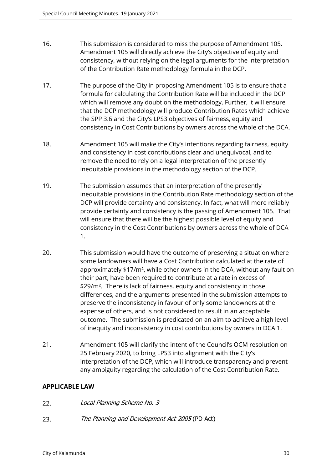- 16. This submission is considered to miss the purpose of Amendment 105. Amendment 105 will directly achieve the City's objective of equity and consistency, without relying on the legal arguments for the interpretation of the Contribution Rate methodology formula in the DCP.
- 17. The purpose of the City in proposing Amendment 105 is to ensure that a formula for calculating the Contribution Rate will be included in the DCP which will remove any doubt on the methodology. Further, it will ensure that the DCP methodology will produce Contribution Rates which achieve the SPP 3.6 and the City's LPS3 objectives of fairness, equity and consistency in Cost Contributions by owners across the whole of the DCA.
- 18. Amendment 105 will make the City's intentions regarding fairness, equity and consistency in cost contributions clear and unequivocal, and to remove the need to rely on a legal interpretation of the presently inequitable provisions in the methodology section of the DCP.
- 19. The submission assumes that an interpretation of the presently inequitable provisions in the Contribution Rate methodology section of the DCP will provide certainty and consistency. In fact, what will more reliably provide certainty and consistency is the passing of Amendment 105. That will ensure that there will be the highest possible level of equity and consistency in the Cost Contributions by owners across the whole of DCA 1.
- 20. This submission would have the outcome of preserving a situation where some landowners will have a Cost Contribution calculated at the rate of approximately \$17/m², while other owners in the DCA, without any fault on their part, have been required to contribute at a rate in excess of \$29/m². There is lack of fairness, equity and consistency in those differences, and the arguments presented in the submission attempts to preserve the inconsistency in favour of only some landowners at the expense of others, and is not considered to result in an acceptable outcome. The submission is predicated on an aim to achieve a high level of inequity and inconsistency in cost contributions by owners in DCA 1.
- 21. Amendment 105 will clarify the intent of the Council's OCM resolution on 25 February 2020, to bring LPS3 into alignment with the City's interpretation of the DCP, which will introduce transparency and prevent any ambiguity regarding the calculation of the Cost Contribution Rate.

# **APPLICABLE LAW**

- 22. *Local Planning Scheme No. 3*
- 23. *The Planning and Development Act 2005* (PD Act)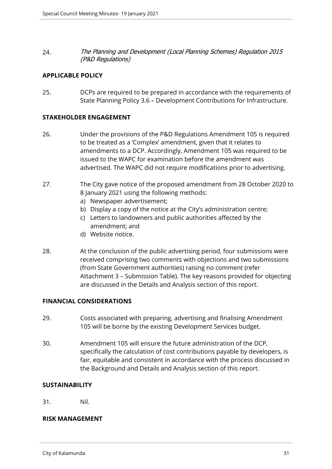24. *The Planning and Development (Local Planning Schemes) Regulation 2015 (P&D Regulations)*

# **APPLICABLE POLICY**

25. DCPs are required to be prepared in accordance with the requirements of State Planning Policy 3.6 – Development Contributions for Infrastructure.

## **STAKEHOLDER ENGAGEMENT**

- 26. Under the provisions of the P&D Regulations Amendment 105 is required to be treated as a 'Complex' amendment, given that it relates to amendments to a DCP. Accordingly, Amendment 105 was required to be issued to the WAPC for examination before the amendment was advertised. The WAPC did not require modifications prior to advertising.
- 27. The City gave notice of the proposed amendment from 28 October 2020 to 8 January 2021 using the following methods:
	- a) Newspaper advertisement;
	- b) Display a copy of the notice at the City's administration centre;
	- c) Letters to landowners and public authorities affected by the amendment; and
	- d) Website notice.
- 28. At the conclusion of the public advertising period, four submissions were received comprising two comments with objections and two submissions (from State Government authorities) raising no comment (refer Attachment 3 – Submission Table). The key reasons provided for objecting are discussed in the Details and Analysis section of this report.

# **FINANCIAL CONSIDERATIONS**

- 29. Costs associated with preparing, advertising and finalising Amendment 105 will be borne by the existing Development Services budget.
- 30. Amendment 105 will ensure the future administration of the DCP, specifically the calculation of cost contributions payable by developers, is fair, equitable and consistent in accordance with the process discussed in the Background and Details and Analysis section of this report.

# **SUSTAINABILITY**

31. Nil.

# **RISK MANAGEMENT**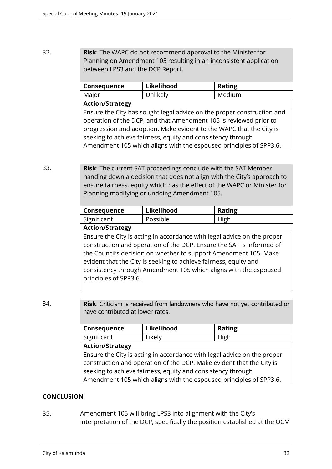# 32. **Risk**: The WAPC do not recommend approval to the Minister for Planning on Amendment 105 resulting in an inconsistent application between LPS3 and the DCP Report.

| Consequence                                                            | Likelihood | <b>Rating</b> |  |
|------------------------------------------------------------------------|------------|---------------|--|
| Major                                                                  | Unlikely   | Medium        |  |
| <b>Action/Strategy</b>                                                 |            |               |  |
| Ensure the City has sought legal advice on the proper construction and |            |               |  |
| operation of the DCP, and that Amendment 105 is reviewed prior to      |            |               |  |
| progression and adoption. Make evident to the WAPC that the City is    |            |               |  |
| seeking to achieve fairness, equity and consistency through            |            |               |  |
| Amendment 105 which aligns with the espoused principles of SPP3.6.     |            |               |  |

33. **Risk**: The current SAT proceedings conclude with the SAT Member handing down a decision that does not align with the City's approach to ensure fairness, equity which has the effect of the WAPC or Minister for Planning modifying or undoing Amendment 105.

| <b>Consequence</b> | Likelihood | <b>Rating</b> |
|--------------------|------------|---------------|
| Significant        | Possible   | High          |
|                    |            |               |

# **Action/Strategy**

Ensure the City is acting in accordance with legal advice on the proper construction and operation of the DCP. Ensure the SAT is informed of the Council's decision on whether to support Amendment 105. Make evident that the City is seeking to achieve fairness, equity and consistency through Amendment 105 which aligns with the espoused principles of SPP3.6.

34. **Risk**: Criticism is received from landowners who have not yet contributed or have contributed at lower rates.

| Consequence                                                             | Likelihood | <b>Rating</b> |  |
|-------------------------------------------------------------------------|------------|---------------|--|
| Significant                                                             | Likely     | High          |  |
| <b>Action/Strategy</b>                                                  |            |               |  |
| Ensure the City is acting in accordance with legal advice on the proper |            |               |  |
| construction and operation of the DCP. Make evident that the City is    |            |               |  |
| seeking to achieve fairness, equity and consistency through             |            |               |  |
| Amendment 105 which aligns with the espoused principles of SPP3.6.      |            |               |  |

# **CONCLUSION**

35. Amendment 105 will bring LPS3 into alignment with the City's interpretation of the DCP, specifically the position established at the OCM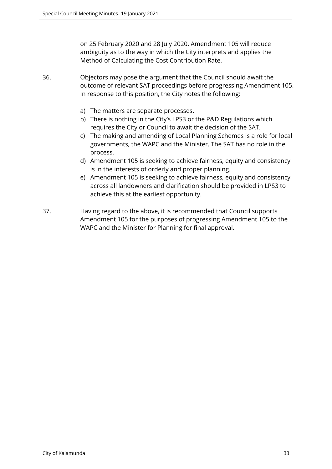on 25 February 2020 and 28 July 2020. Amendment 105 will reduce ambiguity as to the way in which the City interprets and applies the Method of Calculating the Cost Contribution Rate.

36. Objectors may pose the argument that the Council should await the outcome of relevant SAT proceedings before progressing Amendment 105. In response to this position, the City notes the following:

- a) The matters are separate processes.
- b) There is nothing in the City's LPS3 or the P&D Regulations which requires the City or Council to await the decision of the SAT.
- c) The making and amending of Local Planning Schemes is a role for local governments, the WAPC and the Minister. The SAT has no role in the process.
- d) Amendment 105 is seeking to achieve fairness, equity and consistency is in the interests of orderly and proper planning.
- e) Amendment 105 is seeking to achieve fairness, equity and consistency across all landowners and clarification should be provided in LPS3 to achieve this at the earliest opportunity.
- 37. Having regard to the above, it is recommended that Council supports Amendment 105 for the purposes of progressing Amendment 105 to the WAPC and the Minister for Planning for final approval.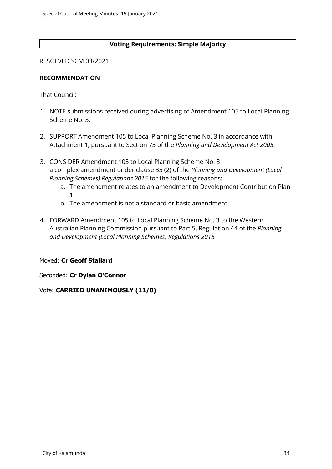# **Voting Requirements: Simple Majority**

## RESOLVED SCM 03/2021

## **RECOMMENDATION**

That Council:

- 1. NOTE submissions received during advertising of Amendment 105 to Local Planning Scheme No. 3.
- 2. SUPPORT Amendment 105 to Local Planning Scheme No. 3 in accordance with Attachment 1, pursuant to Section 75 of the *Planning and Development Act 2005*.
- 3. CONSIDER Amendment 105 to Local Planning Scheme No. 3 a complex amendment under clause 35 (2) of the *Planning and Development (Local Planning Schemes) Regulations 2015* for the following reasons:
	- a. The amendment relates to an amendment to Development Contribution Plan 1.
	- b. The amendment is not a standard or basic amendment.
- 4. FORWARD Amendment 105 to Local Planning Scheme No. 3 to the Western Australian Planning Commission pursuant to Part 5, Regulation 44 of the *Planning and Development (Local Planning Schemes) Regulations 2015*

# Moved: **Cr Geoff Stallard**

Seconded: **Cr Dylan O'Connor**

# Vote: **CARRIED UNANIMOUSLY (11/0)**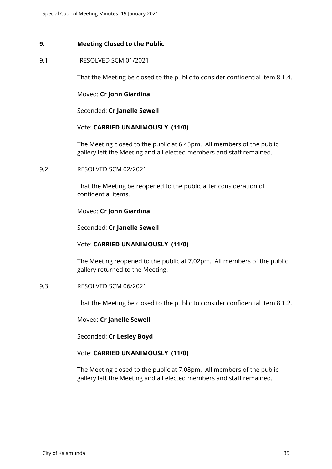## <span id="page-34-0"></span>**9. Meeting Closed to the Public**

## 9.1 RESOLVED SCM 01/2021

That the Meeting be closed to the public to consider confidential item 8.1.4.

Moved: **Cr John Giardina**

Seconded: **Cr Janelle Sewell**

## Vote: **CARRIED UNANIMOUSLY (11/0)**

The Meeting closed to the public at 6.45pm. All members of the public gallery left the Meeting and all elected members and staff remained.

## 9.2 RESOLVED SCM 02/2021

That the Meeting be reopened to the public after consideration of confidential items.

## Moved: **Cr John Giardina**

Seconded: **Cr Janelle Sewell**

## Vote: **CARRIED UNANIMOUSLY (11/0)**

The Meeting reopened to the public at 7.02pm. All members of the public gallery returned to the Meeting.

## 9.3 RESOLVED SCM 06/2021

That the Meeting be closed to the public to consider confidential item 8.1.2.

## Moved: **Cr Janelle Sewell**

Seconded: **Cr Lesley Boyd** 

## Vote: **CARRIED UNANIMOUSLY (11/0)**

The Meeting closed to the public at 7.08pm. All members of the public gallery left the Meeting and all elected members and staff remained.